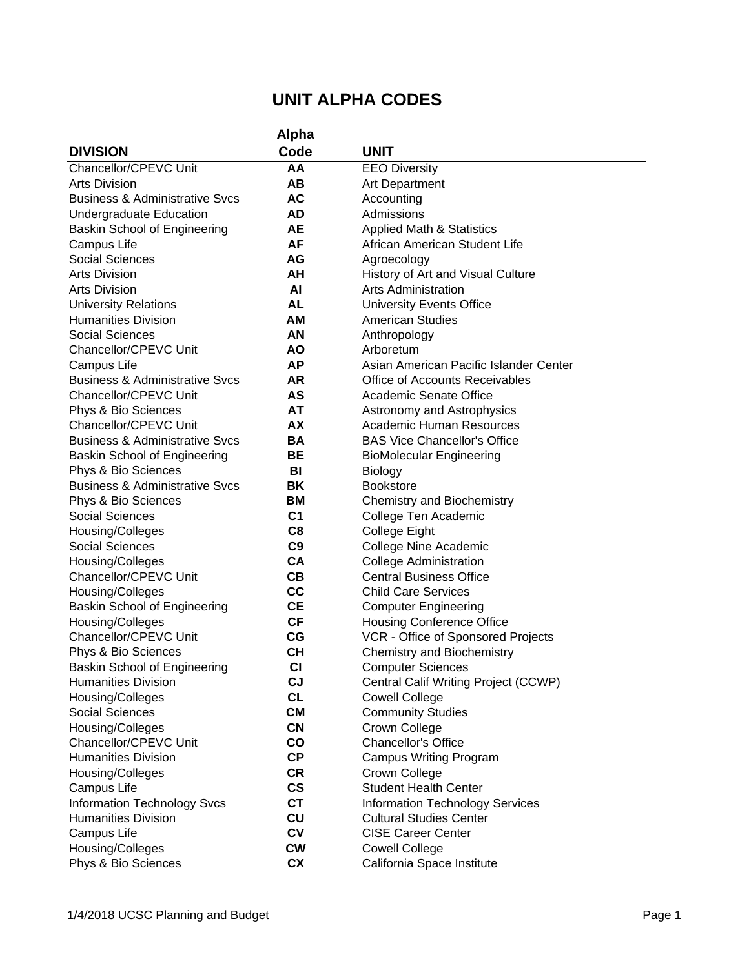|                                           | Alpha          |                                        |
|-------------------------------------------|----------------|----------------------------------------|
| <b>DIVISION</b>                           | Code           | <b>UNIT</b>                            |
| Chancellor/CPEVC Unit                     | AA             | <b>EEO Diversity</b>                   |
| <b>Arts Division</b>                      | AВ             | <b>Art Department</b>                  |
| <b>Business &amp; Administrative Svcs</b> | AC             | Accounting                             |
| Undergraduate Education                   | AD             | Admissions                             |
| <b>Baskin School of Engineering</b>       | <b>AE</b>      | <b>Applied Math &amp; Statistics</b>   |
| Campus Life                               | AF             | African American Student Life          |
| <b>Social Sciences</b>                    | AG             | Agroecology                            |
| <b>Arts Division</b>                      | AΗ             | History of Art and Visual Culture      |
| <b>Arts Division</b>                      | AI             | <b>Arts Administration</b>             |
| <b>University Relations</b>               | <b>AL</b>      | <b>University Events Office</b>        |
| <b>Humanities Division</b>                | AM             | <b>American Studies</b>                |
| <b>Social Sciences</b>                    | AN             | Anthropology                           |
| Chancellor/CPEVC Unit                     | ΑO             | Arboretum                              |
| Campus Life                               | <b>AP</b>      | Asian American Pacific Islander Center |
| <b>Business &amp; Administrative Svcs</b> | AR             | Office of Accounts Receivables         |
| Chancellor/CPEVC Unit                     | AS             | Academic Senate Office                 |
| Phys & Bio Sciences                       | AT             | Astronomy and Astrophysics             |
| Chancellor/CPEVC Unit                     | AX             | <b>Academic Human Resources</b>        |
| <b>Business &amp; Administrative Svcs</b> | <b>BA</b>      | <b>BAS Vice Chancellor's Office</b>    |
| <b>Baskin School of Engineering</b>       | BE             | <b>BioMolecular Engineering</b>        |
| Phys & Bio Sciences                       | BI             | <b>Biology</b>                         |
| <b>Business &amp; Administrative Svcs</b> | ΒK             | <b>Bookstore</b>                       |
| Phys & Bio Sciences                       | BM             | <b>Chemistry and Biochemistry</b>      |
| <b>Social Sciences</b>                    | C <sub>1</sub> | College Ten Academic                   |
| Housing/Colleges                          | C <sub>8</sub> | College Eight                          |
| <b>Social Sciences</b>                    | C9             | <b>College Nine Academic</b>           |
| Housing/Colleges                          | <b>CA</b>      | <b>College Administration</b>          |
| Chancellor/CPEVC Unit                     | CВ             | <b>Central Business Office</b>         |
| Housing/Colleges                          | cc             | <b>Child Care Services</b>             |
| <b>Baskin School of Engineering</b>       | <b>CE</b>      | <b>Computer Engineering</b>            |
| Housing/Colleges                          | СF             | <b>Housing Conference Office</b>       |
| Chancellor/CPEVC Unit                     | CG             | VCR - Office of Sponsored Projects     |
| Phys & Bio Sciences                       | CН             | Chemistry and Biochemistry             |
| <b>Baskin School of Engineering</b>       | <b>CI</b>      | <b>Computer Sciences</b>               |
| <b>Humanities Division</b>                | CJ             | Central Calif Writing Project (CCWP)   |
| Housing/Colleges                          | <b>CL</b>      | <b>Cowell College</b>                  |
| <b>Social Sciences</b>                    | <b>CM</b>      | <b>Community Studies</b>               |
| Housing/Colleges                          | <b>CN</b>      | <b>Crown College</b>                   |
| Chancellor/CPEVC Unit                     | $\mathbf{co}$  | <b>Chancellor's Office</b>             |
| <b>Humanities Division</b>                | CP             | <b>Campus Writing Program</b>          |
| Housing/Colleges                          | <b>CR</b>      | Crown College                          |
| Campus Life                               | $\mathsf{cs}$  | <b>Student Health Center</b>           |
| <b>Information Technology Svcs</b>        | <b>CT</b>      | <b>Information Technology Services</b> |
| <b>Humanities Division</b>                | CU             | <b>Cultural Studies Center</b>         |
| Campus Life                               | <b>CV</b>      | <b>CISE Career Center</b>              |
| Housing/Colleges                          | <b>CW</b>      | <b>Cowell College</b>                  |
| Phys & Bio Sciences                       | <b>CX</b>      | California Space Institute             |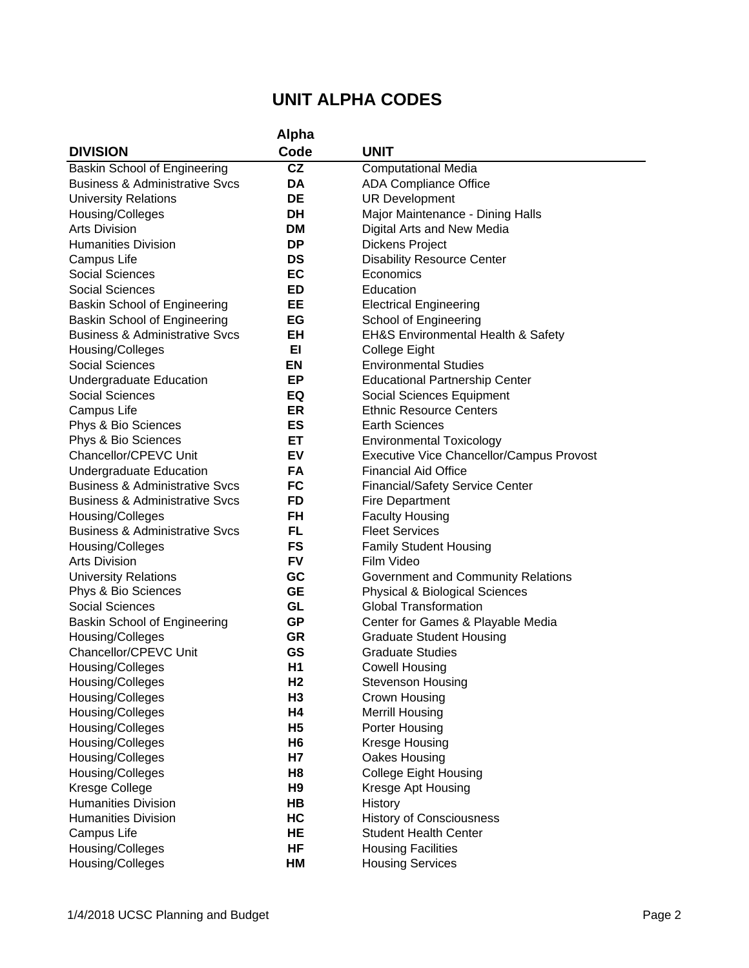|                                           | Alpha          |                                                 |
|-------------------------------------------|----------------|-------------------------------------------------|
| <b>DIVISION</b>                           | Code           | <b>UNIT</b>                                     |
| Baskin School of Engineering              | CZ             | <b>Computational Media</b>                      |
| <b>Business &amp; Administrative Svcs</b> | DA             | <b>ADA Compliance Office</b>                    |
| <b>University Relations</b>               | DE             | <b>UR Development</b>                           |
| Housing/Colleges                          | DH             | Major Maintenance - Dining Halls                |
| <b>Arts Division</b>                      | <b>DM</b>      | Digital Arts and New Media                      |
| <b>Humanities Division</b>                | <b>DP</b>      | Dickens Project                                 |
| Campus Life                               | DS             | <b>Disability Resource Center</b>               |
| <b>Social Sciences</b>                    | EC             | Economics                                       |
| <b>Social Sciences</b>                    | ED             | Education                                       |
| <b>Baskin School of Engineering</b>       | EE             | <b>Electrical Engineering</b>                   |
| <b>Baskin School of Engineering</b>       | EG             | School of Engineering                           |
| <b>Business &amp; Administrative Svcs</b> | EН             | EH&S Environmental Health & Safety              |
| Housing/Colleges                          | EI             | College Eight                                   |
| <b>Social Sciences</b>                    | EN             | <b>Environmental Studies</b>                    |
| <b>Undergraduate Education</b>            | EP             | <b>Educational Partnership Center</b>           |
| <b>Social Sciences</b>                    | EQ             | Social Sciences Equipment                       |
| <b>Campus Life</b>                        | ER             | <b>Ethnic Resource Centers</b>                  |
| Phys & Bio Sciences                       | ES             | <b>Earth Sciences</b>                           |
| Phys & Bio Sciences                       | ET             | <b>Environmental Toxicology</b>                 |
| Chancellor/CPEVC Unit                     | EV             | <b>Executive Vice Chancellor/Campus Provost</b> |
| Undergraduate Education                   | FA             | <b>Financial Aid Office</b>                     |
| <b>Business &amp; Administrative Sycs</b> | FC             | <b>Financial/Safety Service Center</b>          |
| <b>Business &amp; Administrative Svcs</b> | <b>FD</b>      | <b>Fire Department</b>                          |
| Housing/Colleges                          | FH             | <b>Faculty Housing</b>                          |
| <b>Business &amp; Administrative Svcs</b> | FL             | <b>Fleet Services</b>                           |
| Housing/Colleges                          | <b>FS</b>      | <b>Family Student Housing</b>                   |
| <b>Arts Division</b>                      | FV             | Film Video                                      |
| <b>University Relations</b>               | GC             | Government and Community Relations              |
| Phys & Bio Sciences                       | <b>GE</b>      | <b>Physical &amp; Biological Sciences</b>       |
| <b>Social Sciences</b>                    | GL             | <b>Global Transformation</b>                    |
| <b>Baskin School of Engineering</b>       | GP             | Center for Games & Playable Media               |
| Housing/Colleges                          | GR             | <b>Graduate Student Housing</b>                 |
| Chancellor/CPEVC Unit                     | GS             | <b>Graduate Studies</b>                         |
| Housing/Colleges                          | H <sub>1</sub> | Cowell Housing                                  |
| Housing/Colleges                          | H <sub>2</sub> | <b>Stevenson Housing</b>                        |
| Housing/Colleges                          | H <sub>3</sub> | Crown Housing                                   |
| Housing/Colleges                          | H4             | <b>Merrill Housing</b>                          |
| Housing/Colleges                          | H <sub>5</sub> | Porter Housing                                  |
| Housing/Colleges                          | H <sub>6</sub> | Kresge Housing                                  |
| Housing/Colleges                          | H7             | Oakes Housing                                   |
| Housing/Colleges                          | H <sub>8</sub> | <b>College Eight Housing</b>                    |
| Kresge College                            | H <sub>9</sub> | Kresge Apt Housing                              |
| <b>Humanities Division</b>                | HB             | History                                         |
| <b>Humanities Division</b>                | HC             | <b>History of Consciousness</b>                 |
| Campus Life                               | HE             | <b>Student Health Center</b>                    |
| Housing/Colleges                          | HF             | <b>Housing Facilities</b>                       |
| Housing/Colleges                          | HM             | <b>Housing Services</b>                         |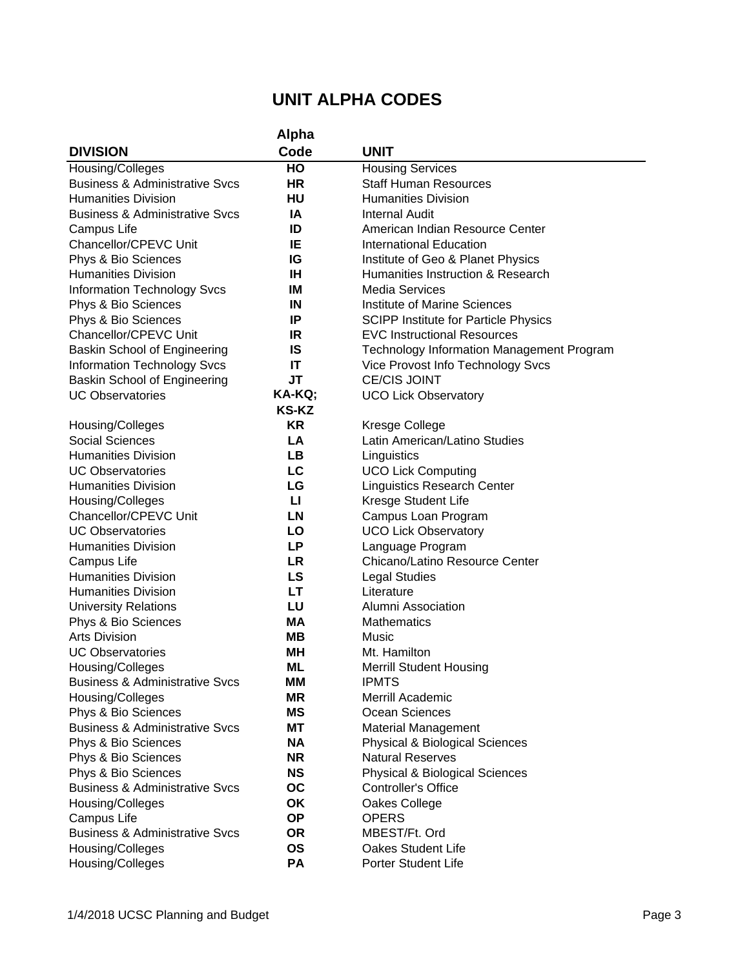|                                           | Alpha        |                                             |
|-------------------------------------------|--------------|---------------------------------------------|
| <b>DIVISION</b>                           | Code         | <b>UNIT</b>                                 |
| Housing/Colleges                          | HO           | <b>Housing Services</b>                     |
| <b>Business &amp; Administrative Svcs</b> | HR           | <b>Staff Human Resources</b>                |
| <b>Humanities Division</b>                | HU           | <b>Humanities Division</b>                  |
| <b>Business &amp; Administrative Svcs</b> | IA           | <b>Internal Audit</b>                       |
| Campus Life                               | ID           | American Indian Resource Center             |
| Chancellor/CPEVC Unit                     | IE           | <b>International Education</b>              |
| Phys & Bio Sciences                       | IG           | Institute of Geo & Planet Physics           |
| <b>Humanities Division</b>                | IH           | Humanities Instruction & Research           |
| <b>Information Technology Svcs</b>        | ΙM           | <b>Media Services</b>                       |
| Phys & Bio Sciences                       | IN           | <b>Institute of Marine Sciences</b>         |
| Phys & Bio Sciences                       | IP           | <b>SCIPP Institute for Particle Physics</b> |
| Chancellor/CPEVC Unit                     | IR           | <b>EVC Instructional Resources</b>          |
| <b>Baskin School of Engineering</b>       | IS           | Technology Information Management Program   |
| <b>Information Technology Svcs</b>        | IT           | Vice Provost Info Technology Svcs           |
| Baskin School of Engineering              | JT           | <b>CE/CIS JOINT</b>                         |
| <b>UC Observatories</b>                   | KA-KQ;       | <b>UCO Lick Observatory</b>                 |
|                                           | <b>KS-KZ</b> |                                             |
| Housing/Colleges                          | <b>KR</b>    | <b>Kresge College</b>                       |
| <b>Social Sciences</b>                    | LA           | Latin American/Latino Studies               |
| <b>Humanities Division</b>                | <b>LB</b>    | Linguistics                                 |
| <b>UC Observatories</b>                   | LC           | <b>UCO Lick Computing</b>                   |
| <b>Humanities Division</b>                | LG           | <b>Linguistics Research Center</b>          |
| Housing/Colleges                          | п            | Kresge Student Life                         |
| Chancellor/CPEVC Unit                     | LN           | Campus Loan Program                         |
| <b>UC Observatories</b>                   | LO           | <b>UCO Lick Observatory</b>                 |
| <b>Humanities Division</b>                | LP           | Language Program                            |
| Campus Life                               | <b>LR</b>    | Chicano/Latino Resource Center              |
| <b>Humanities Division</b>                | LS           | <b>Legal Studies</b>                        |
| <b>Humanities Division</b>                | LT           | Literature                                  |
| <b>University Relations</b>               | LU           | Alumni Association                          |
| Phys & Bio Sciences                       | МA           | <b>Mathematics</b>                          |
| <b>Arts Division</b>                      | MВ           | Music                                       |
| <b>UC Observatories</b>                   | MН           | Mt. Hamilton                                |
| Housing/Colleges                          | ML           | <b>Merrill Student Housing</b>              |
| <b>Business &amp; Administrative Svcs</b> | ΜМ           | <b>IPMTS</b>                                |
| Housing/Colleges                          | ΜR           | Merrill Academic                            |
| Phys & Bio Sciences                       | ΜS           | Ocean Sciences                              |
| <b>Business &amp; Administrative Svcs</b> | МT           | <b>Material Management</b>                  |
| Phys & Bio Sciences                       | <b>NA</b>    | <b>Physical &amp; Biological Sciences</b>   |
| Phys & Bio Sciences                       | <b>NR</b>    | <b>Natural Reserves</b>                     |
| Phys & Bio Sciences                       | <b>NS</b>    | <b>Physical &amp; Biological Sciences</b>   |
| <b>Business &amp; Administrative Svcs</b> | <b>OC</b>    | <b>Controller's Office</b>                  |
| Housing/Colleges                          | OK           | Oakes College                               |
| Campus Life                               | <b>OP</b>    | <b>OPERS</b>                                |
| <b>Business &amp; Administrative Svcs</b> | <b>OR</b>    | MBEST/Ft. Ord                               |
| Housing/Colleges                          | <b>OS</b>    | Oakes Student Life                          |
| Housing/Colleges                          | PA           | Porter Student Life                         |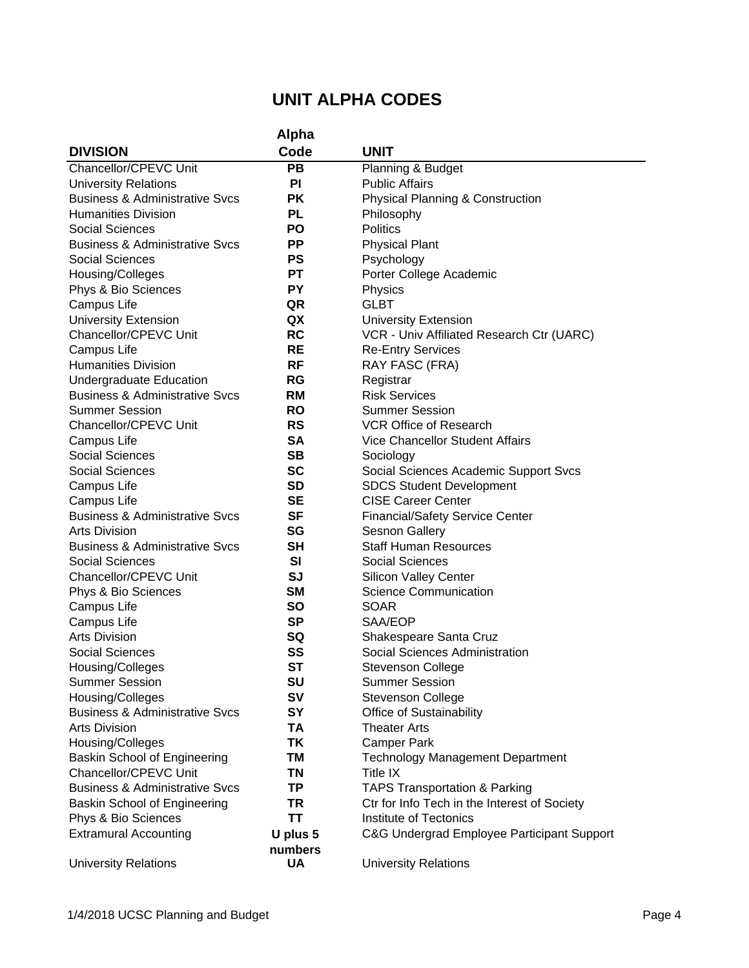|                                                                   | <b>Alpha</b> |                                                 |
|-------------------------------------------------------------------|--------------|-------------------------------------------------|
| <b>DIVISION</b>                                                   | Code         | <b>UNIT</b>                                     |
| Chancellor/CPEVC Unit                                             | PB           | Planning & Budget                               |
| <b>University Relations</b>                                       | <b>PI</b>    | <b>Public Affairs</b>                           |
| <b>Business &amp; Administrative Svcs</b>                         | <b>PK</b>    | <b>Physical Planning &amp; Construction</b>     |
| <b>Humanities Division</b>                                        | PL           | Philosophy                                      |
| Social Sciences                                                   | <b>PO</b>    | <b>Politics</b>                                 |
| <b>Business &amp; Administrative Svcs</b>                         | <b>PP</b>    | <b>Physical Plant</b>                           |
| <b>Social Sciences</b>                                            | <b>PS</b>    | Psychology                                      |
| Housing/Colleges                                                  | <b>PT</b>    | Porter College Academic                         |
| Phys & Bio Sciences                                               | <b>PY</b>    | Physics                                         |
| Campus Life                                                       | QR           | <b>GLBT</b>                                     |
| <b>University Extension</b>                                       | QX           | <b>University Extension</b>                     |
| Chancellor/CPEVC Unit                                             | <b>RC</b>    | VCR - Univ Affiliated Research Ctr (UARC)       |
| Campus Life                                                       | <b>RE</b>    | <b>Re-Entry Services</b>                        |
| <b>Humanities Division</b>                                        | RF           | RAY FASC (FRA)                                  |
| Undergraduate Education                                           | <b>RG</b>    | Registrar                                       |
| <b>Business &amp; Administrative Svcs</b>                         | <b>RM</b>    | <b>Risk Services</b>                            |
| <b>Summer Session</b>                                             | <b>RO</b>    | <b>Summer Session</b>                           |
| Chancellor/CPEVC Unit                                             | <b>RS</b>    | <b>VCR Office of Research</b>                   |
| Campus Life                                                       | <b>SA</b>    | <b>Vice Chancellor Student Affairs</b>          |
| <b>Social Sciences</b>                                            | SВ           | Sociology                                       |
| <b>Social Sciences</b>                                            | <b>SC</b>    | Social Sciences Academic Support Svcs           |
| Campus Life                                                       | SD           | <b>SDCS Student Development</b>                 |
| Campus Life                                                       | <b>SE</b>    | <b>CISE Career Center</b>                       |
| <b>Business &amp; Administrative Svcs</b>                         | <b>SF</b>    | <b>Financial/Safety Service Center</b>          |
| <b>Arts Division</b>                                              | SG           | <b>Sesnon Gallery</b>                           |
| <b>Business &amp; Administrative Svcs</b>                         | <b>SH</b>    | <b>Staff Human Resources</b>                    |
| <b>Social Sciences</b>                                            | SI           | <b>Social Sciences</b>                          |
| Chancellor/CPEVC Unit                                             | <b>SJ</b>    | <b>Silicon Valley Center</b>                    |
| Phys & Bio Sciences                                               | <b>SM</b>    | <b>Science Communication</b>                    |
| Campus Life                                                       | <b>SO</b>    | <b>SOAR</b>                                     |
| Campus Life                                                       | <b>SP</b>    | SAA/EOP                                         |
| <b>Arts Division</b>                                              | SQ           | Shakespeare Santa Cruz                          |
| Social Sciences                                                   | SS           | Social Sciences Administration                  |
| Housing/Colleges                                                  | <b>ST</b>    | <b>Stevenson College</b>                        |
| <b>Summer Session</b>                                             | SU           | <b>Summer Session</b>                           |
| Housing/Colleges                                                  | <b>SV</b>    | <b>Stevenson College</b>                        |
| <b>Business &amp; Administrative Svcs</b><br><b>Arts Division</b> | SY<br>TA     | Office of Sustainability<br><b>Theater Arts</b> |
| Housing/Colleges                                                  | ΤK           | <b>Camper Park</b>                              |
| Baskin School of Engineering                                      | TM           | <b>Technology Management Department</b>         |
| Chancellor/CPEVC Unit                                             | TN           | Title IX                                        |
| <b>Business &amp; Administrative Svcs</b>                         | TP           | <b>TAPS Transportation &amp; Parking</b>        |
| Baskin School of Engineering                                      | TR           | Ctr for Info Tech in the Interest of Society    |
| Phys & Bio Sciences                                               | ΤT           | Institute of Tectonics                          |
| <b>Extramural Accounting</b>                                      | U plus 5     | C&G Undergrad Employee Participant Support      |
|                                                                   | numbers      |                                                 |
| <b>University Relations</b>                                       | UA           | <b>University Relations</b>                     |